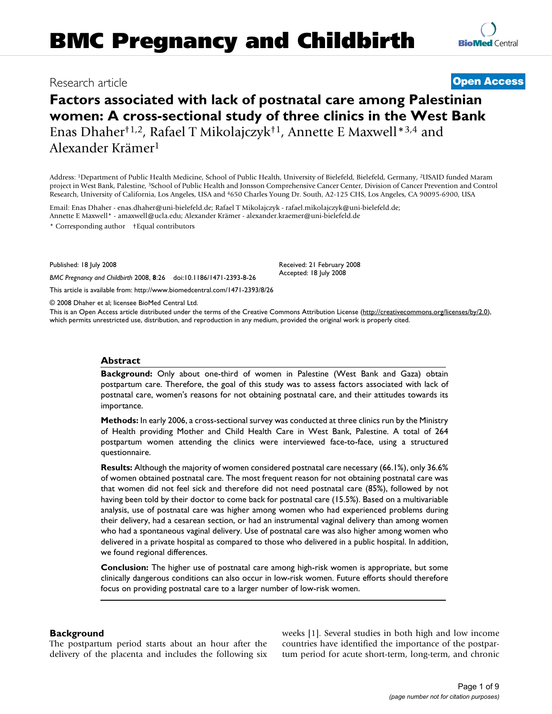## Research article **[Open Access](http://www.biomedcentral.com/info/about/charter/)**

# **Factors associated with lack of postnatal care among Palestinian women: A cross-sectional study of three clinics in the West Bank** Enas Dhaher†1,2, Rafael T Mikolajczyk†1, Annette E Maxwell\*3,4 and Alexander Krämer1

Address: 1Department of Public Health Medicine, School of Public Health, University of Bielefeld, Bielefeld, Germany, 2USAID funded Maram project in West Bank, Palestine, 3School of Public Health and Jonsson Comprehensive Cancer Center, Division of Cancer Prevention and Control Research, University of California, Los Angeles, USA and 4650 Charles Young Dr. South, A2-125 CHS, Los Angeles, CA 90095-6900, USA

Email: Enas Dhaher - enas.dhaher@uni-bielefeld.de; Rafael T Mikolajczyk - rafael.mikolajczyk@uni-bielefeld.de; Annette E Maxwell\* - amaxwell@ucla.edu; Alexander Krämer - alexander.kraemer@uni-bielefeld.de

\* Corresponding author †Equal contributors

Published: 18 July 2008

*BMC Pregnancy and Childbirth* 2008, **8**:26 doi:10.1186/1471-2393-8-26 [This article is available from: http://www.biomedcentral.com/1471-2393/8/26](http://www.biomedcentral.com/1471-2393/8/26)

Received: 21 February 2008 Accepted: 18 July 2008

© 2008 Dhaher et al; licensee BioMed Central Ltd.

This is an Open Access article distributed under the terms of the Creative Commons Attribution License [\(http://creativecommons.org/licenses/by/2.0\)](http://creativecommons.org/licenses/by/2.0), which permits unrestricted use, distribution, and reproduction in any medium, provided the original work is properly cited.

#### **Abstract**

**Background:** Only about one-third of women in Palestine (West Bank and Gaza) obtain postpartum care. Therefore, the goal of this study was to assess factors associated with lack of postnatal care, women's reasons for not obtaining postnatal care, and their attitudes towards its importance.

**Methods:** In early 2006, a cross-sectional survey was conducted at three clinics run by the Ministry of Health providing Mother and Child Health Care in West Bank, Palestine. A total of 264 postpartum women attending the clinics were interviewed face-to-face, using a structured questionnaire.

**Results:** Although the majority of women considered postnatal care necessary (66.1%), only 36.6% of women obtained postnatal care. The most frequent reason for not obtaining postnatal care was that women did not feel sick and therefore did not need postnatal care (85%), followed by not having been told by their doctor to come back for postnatal care (15.5%). Based on a multivariable analysis, use of postnatal care was higher among women who had experienced problems during their delivery, had a cesarean section, or had an instrumental vaginal delivery than among women who had a spontaneous vaginal delivery. Use of postnatal care was also higher among women who delivered in a private hospital as compared to those who delivered in a public hospital. In addition, we found regional differences.

**Conclusion:** The higher use of postnatal care among high-risk women is appropriate, but some clinically dangerous conditions can also occur in low-risk women. Future efforts should therefore focus on providing postnatal care to a larger number of low-risk women.

### **Background**

The postpartum period starts about an hour after the delivery of the placenta and includes the following six

weeks [1]. Several studies in both high and low income countries have identified the importance of the postpartum period for acute short-term, long-term, and chronic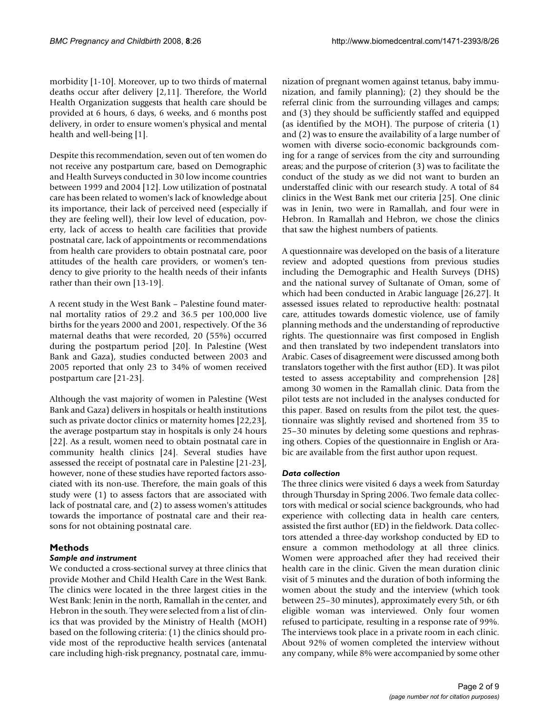morbidity [1-10]. Moreover, up to two thirds of maternal deaths occur after delivery [2,11]. Therefore, the World Health Organization suggests that health care should be provided at 6 hours, 6 days, 6 weeks, and 6 months post delivery, in order to ensure women's physical and mental health and well-being [1].

Despite this recommendation, seven out of ten women do not receive any postpartum care, based on Demographic and Health Surveys conducted in 30 low income countries between 1999 and 2004 [12]. Low utilization of postnatal care has been related to women's lack of knowledge about its importance, their lack of perceived need (especially if they are feeling well), their low level of education, poverty, lack of access to health care facilities that provide postnatal care, lack of appointments or recommendations from health care providers to obtain postnatal care, poor attitudes of the health care providers, or women's tendency to give priority to the health needs of their infants rather than their own [13-19].

A recent study in the West Bank – Palestine found maternal mortality ratios of 29.2 and 36.5 per 100,000 live births for the years 2000 and 2001, respectively. Of the 36 maternal deaths that were recorded, 20 (55%) occurred during the postpartum period [20]. In Palestine (West Bank and Gaza), studies conducted between 2003 and 2005 reported that only 23 to 34% of women received postpartum care [21-23].

Although the vast majority of women in Palestine (West Bank and Gaza) delivers in hospitals or health institutions such as private doctor clinics or maternity homes [22,23], the average postpartum stay in hospitals is only 24 hours [22]. As a result, women need to obtain postnatal care in community health clinics [24]. Several studies have assessed the receipt of postnatal care in Palestine [21-23], however, none of these studies have reported factors associated with its non-use. Therefore, the main goals of this study were (1) to assess factors that are associated with lack of postnatal care, and (2) to assess women's attitudes towards the importance of postnatal care and their reasons for not obtaining postnatal care.

### **Methods**

### *Sample and instrument*

We conducted a cross-sectional survey at three clinics that provide Mother and Child Health Care in the West Bank. The clinics were located in the three largest cities in the West Bank: Jenin in the north, Ramallah in the center, and Hebron in the south. They were selected from a list of clinics that was provided by the Ministry of Health (MOH) based on the following criteria: (1) the clinics should provide most of the reproductive health services (antenatal care including high-risk pregnancy, postnatal care, immunization of pregnant women against tetanus, baby immunization, and family planning); (2) they should be the referral clinic from the surrounding villages and camps; and (3) they should be sufficiently staffed and equipped (as identified by the MOH). The purpose of criteria (1) and (2) was to ensure the availability of a large number of women with diverse socio-economic backgrounds coming for a range of services from the city and surrounding areas; and the purpose of criterion (3) was to facilitate the conduct of the study as we did not want to burden an understaffed clinic with our research study. A total of 84 clinics in the West Bank met our criteria [25]. One clinic was in Jenin, two were in Ramallah, and four were in Hebron. In Ramallah and Hebron, we chose the clinics that saw the highest numbers of patients.

A questionnaire was developed on the basis of a literature review and adopted questions from previous studies including the Demographic and Health Surveys (DHS) and the national survey of Sultanate of Oman, some of which had been conducted in Arabic language [26,27]. It assessed issues related to reproductive health: postnatal care, attitudes towards domestic violence, use of family planning methods and the understanding of reproductive rights. The questionnaire was first composed in English and then translated by two independent translators into Arabic. Cases of disagreement were discussed among both translators together with the first author (ED). It was pilot tested to assess acceptability and comprehension [28] among 30 women in the Ramallah clinic. Data from the pilot tests are not included in the analyses conducted for this paper. Based on results from the pilot test, the questionnaire was slightly revised and shortened from 35 to 25–30 minutes by deleting some questions and rephrasing others. Copies of the questionnaire in English or Arabic are available from the first author upon request.

### *Data collection*

The three clinics were visited 6 days a week from Saturday through Thursday in Spring 2006. Two female data collectors with medical or social science backgrounds, who had experience with collecting data in health care centers, assisted the first author (ED) in the fieldwork. Data collectors attended a three-day workshop conducted by ED to ensure a common methodology at all three clinics. Women were approached after they had received their health care in the clinic. Given the mean duration clinic visit of 5 minutes and the duration of both informing the women about the study and the interview (which took between 25–30 minutes), approximately every 5th, or 6th eligible woman was interviewed. Only four women refused to participate, resulting in a response rate of 99%. The interviews took place in a private room in each clinic. About 92% of women completed the interview without any company, while 8% were accompanied by some other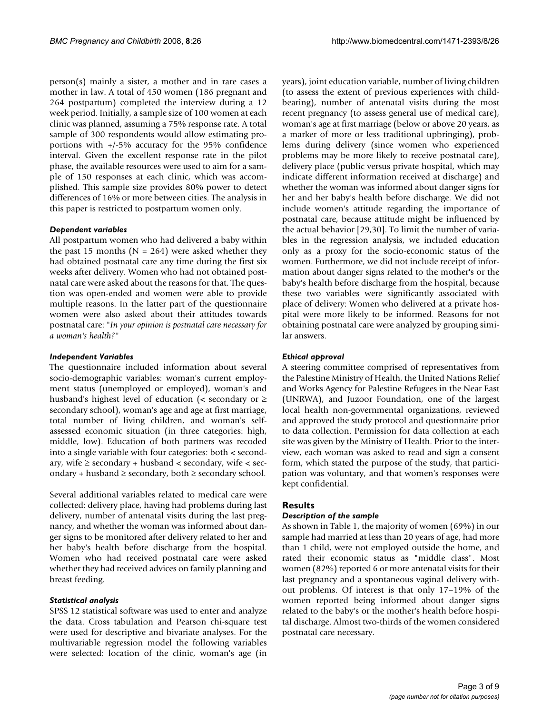person(s) mainly a sister, a mother and in rare cases a mother in law. A total of 450 women (186 pregnant and 264 postpartum) completed the interview during a 12 week period. Initially, a sample size of 100 women at each clinic was planned, assuming a 75% response rate. A total sample of 300 respondents would allow estimating proportions with +/-5% accuracy for the 95% confidence interval. Given the excellent response rate in the pilot phase, the available resources were used to aim for a sample of 150 responses at each clinic, which was accomplished. This sample size provides 80% power to detect differences of 16% or more between cities. The analysis in this paper is restricted to postpartum women only.

### *Dependent variables*

All postpartum women who had delivered a baby within the past 15 months ( $N = 264$ ) were asked whether they had obtained postnatal care any time during the first six weeks after delivery. Women who had not obtained postnatal care were asked about the reasons for that. The question was open-ended and women were able to provide multiple reasons. In the latter part of the questionnaire women were also asked about their attitudes towards postnatal care: "*In your opinion is postnatal care necessary for a woman's health?"*

### *Independent Variables*

The questionnaire included information about several socio-demographic variables: woman's current employment status (unemployed or employed), woman's and husband's highest level of education ( $\lt$  secondary or  $\ge$ secondary school), woman's age and age at first marriage, total number of living children, and woman's selfassessed economic situation (in three categories: high, middle, low). Education of both partners was recoded into a single variable with four categories: both < secondary, wife  $\ge$  secondary + husband < secondary, wife < secondary + husband  $\ge$  secondary, both  $\ge$  secondary school.

Several additional variables related to medical care were collected: delivery place, having had problems during last delivery, number of antenatal visits during the last pregnancy, and whether the woman was informed about danger signs to be monitored after delivery related to her and her baby's health before discharge from the hospital. Women who had received postnatal care were asked whether they had received advices on family planning and breast feeding.

### *Statistical analysis*

SPSS 12 statistical software was used to enter and analyze the data. Cross tabulation and Pearson chi-square test were used for descriptive and bivariate analyses. For the multivariable regression model the following variables were selected: location of the clinic, woman's age (in years), joint education variable, number of living children (to assess the extent of previous experiences with childbearing), number of antenatal visits during the most recent pregnancy (to assess general use of medical care), woman's age at first marriage (below or above 20 years, as a marker of more or less traditional upbringing), problems during delivery (since women who experienced problems may be more likely to receive postnatal care), delivery place (public versus private hospital, which may indicate different information received at discharge) and whether the woman was informed about danger signs for her and her baby's health before discharge. We did not include women's attitude regarding the importance of postnatal care, because attitude might be influenced by the actual behavior [29,30]. To limit the number of variables in the regression analysis, we included education only as a proxy for the socio-economic status of the women. Furthermore, we did not include receipt of information about danger signs related to the mother's or the baby's health before discharge from the hospital, because these two variables were significantly associated with place of delivery: Women who delivered at a private hospital were more likely to be informed. Reasons for not obtaining postnatal care were analyzed by grouping similar answers.

### *Ethical approval*

A steering committee comprised of representatives from the Palestine Ministry of Health, the United Nations Relief and Works Agency for Palestine Refugees in the Near East (UNRWA), and Juzoor Foundation, one of the largest local health non-governmental organizations, reviewed and approved the study protocol and questionnaire prior to data collection. Permission for data collection at each site was given by the Ministry of Health. Prior to the interview, each woman was asked to read and sign a consent form, which stated the purpose of the study, that participation was voluntary, and that women's responses were kept confidential.

### **Results**

### *Description of the sample*

As shown in Table 1, the majority of women (69%) in our sample had married at less than 20 years of age, had more than 1 child, were not employed outside the home, and rated their economic status as "middle class". Most women (82%) reported 6 or more antenatal visits for their last pregnancy and a spontaneous vaginal delivery without problems. Of interest is that only 17–19% of the women reported being informed about danger signs related to the baby's or the mother's health before hospital discharge. Almost two-thirds of the women considered postnatal care necessary.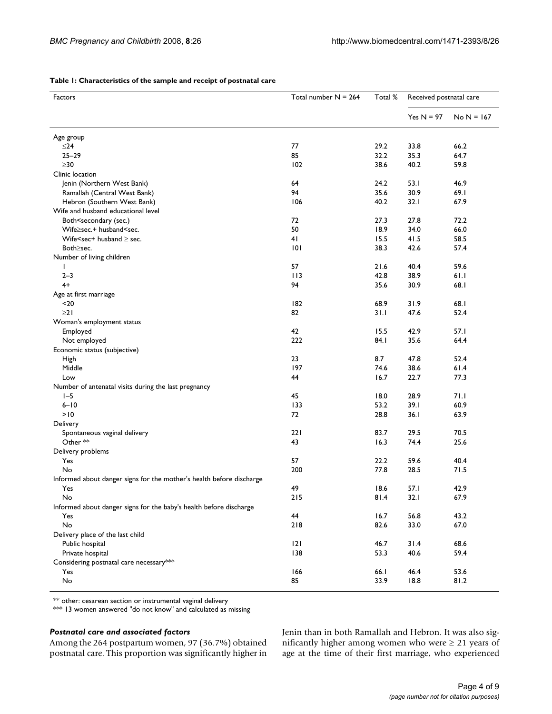| Factors                                                                                         | Total number $N = 264$ | Total % | Received postnatal care |              |
|-------------------------------------------------------------------------------------------------|------------------------|---------|-------------------------|--------------|
|                                                                                                 |                        |         | Yes $N = 97$            | $No N = 167$ |
| Age group                                                                                       |                        |         |                         |              |
| $\leq$ 24                                                                                       | 77                     | 29.2    | 33.8                    | 66.2         |
| $25 - 29$                                                                                       | 85                     | 32.2    | 35.3                    | 64.7         |
| $\geq$ 30                                                                                       | 102                    | 38.6    | 40.2                    | 59.8         |
| Clinic location                                                                                 |                        |         |                         |              |
| Jenin (Northern West Bank)                                                                      | 64                     | 24.2    | 53.1                    | 46.9         |
| Ramallah (Central West Bank)                                                                    | 94                     | 35.6    | 30.9                    | 69.1         |
| Hebron (Southern West Bank)                                                                     | 106                    | 40.2    | 32.1                    | 67.9         |
| Wife and husband educational level                                                              |                        |         |                         |              |
| Both <secondary (sec.)<="" td=""><td>72</td><td>27.3</td><td>27.8</td><td>72.2</td></secondary> | 72                     | 27.3    | 27.8                    | 72.2         |
| Wife≥sec.+ husband <sec.< td=""><td>50</td><td>18.9</td><td>34.0</td><td>66.0</td></sec.<>      | 50                     | 18.9    | 34.0                    | 66.0         |
| Wife <sec+ <math="" husband="">\ge sec.</sec+>                                                  | 4 <sub>l</sub>         | 15.5    | 41.5                    | 58.5         |
| Both≥sec.                                                                                       | 101                    | 38.3    | 42.6                    | 57.4         |
| Number of living children                                                                       |                        |         |                         |              |
|                                                                                                 | 57                     | 21.6    | 40.4                    | 59.6         |
| $2 - 3$                                                                                         | 113                    | 42.8    | 38.9                    | 61.1         |
| $4+$                                                                                            | 94                     | 35.6    | 30.9                    | 68.1         |
| Age at first marriage                                                                           |                        |         |                         |              |
| $20$                                                                                            | 182                    | 68.9    | 31.9                    | 68.I         |
| $\geq$ 21                                                                                       | 82                     | 31.1    | 47.6                    | 52.4         |
| Woman's employment status                                                                       |                        |         |                         |              |
| Employed                                                                                        | 42                     | 15.5    | 42.9                    | 57.I         |
| Not employed                                                                                    | 222                    | 84.I    | 35.6                    | 64.4         |
| Economic status (subjective)                                                                    |                        |         |                         |              |
| High                                                                                            | 23                     | 8.7     | 47.8                    | 52.4         |
| Middle                                                                                          | 197                    | 74.6    | 38.6                    | 61.4         |
| Low                                                                                             | 44                     | 16.7    | 22.7                    | 77.3         |
| Number of antenatal visits during the last pregnancy                                            |                        |         |                         |              |
| $I - 5$                                                                                         | 45                     | 18.0    | 28.9                    | 71.1         |
| $6 - 10$                                                                                        | 133                    | 53.2    | 39.1                    | 60.9         |
| >10                                                                                             | 72                     | 28.8    | 36.1                    | 63.9         |
| Delivery                                                                                        |                        |         |                         |              |
| Spontaneous vaginal delivery                                                                    | 221                    | 83.7    | 29.5                    | 70.5         |
| Other **                                                                                        | 43                     | 16.3    | 74.4                    | 25.6         |
| Delivery problems                                                                               |                        |         |                         |              |
| Yes                                                                                             | 57                     | 22.2    | 59.6                    | 40.4         |
| No                                                                                              | 200                    | 77.8    | 28.5                    | 71.5         |
| Informed about danger signs for the mother's health before discharge                            |                        |         |                         |              |
| Yes                                                                                             | 49                     | 18.6    | 57.I                    | 42.9         |
| No                                                                                              | 215                    | 81.4    | 32.1                    | 67.9         |
| Informed about danger signs for the baby's health before discharge                              |                        |         |                         |              |
| Yes                                                                                             | 44                     | 16.7    | 56.8                    | 43.2         |
| No                                                                                              | 218                    | 82.6    | 33.0                    | 67.0         |
| Delivery place of the last child                                                                |                        |         |                         |              |
| Public hospital                                                                                 | 2                      | 46.7    | 31.4                    | 68.6         |
| Private hospital                                                                                | 138                    | 53.3    | 40.6                    | 59.4         |
| Considering postnatal care necessary***                                                         |                        |         |                         |              |
| Yes                                                                                             | 166                    | 66. I   | 46.4                    | 53.6         |
| No                                                                                              | 85                     | 33.9    | 18.8                    | 81.2         |

#### **Table 1: Characteristics of the sample and receipt of postnatal care**

\*\* other: cesarean section or instrumental vaginal delivery

\*\*\* 13 women answered "do not know" and calculated as missing

### *Postnatal care and associated factors*

Among the 264 postpartum women, 97 (36.7%) obtained postnatal care. This proportion was significantly higher in Jenin than in both Ramallah and Hebron. It was also significantly higher among women who were  $\geq 21$  years of age at the time of their first marriage, who experienced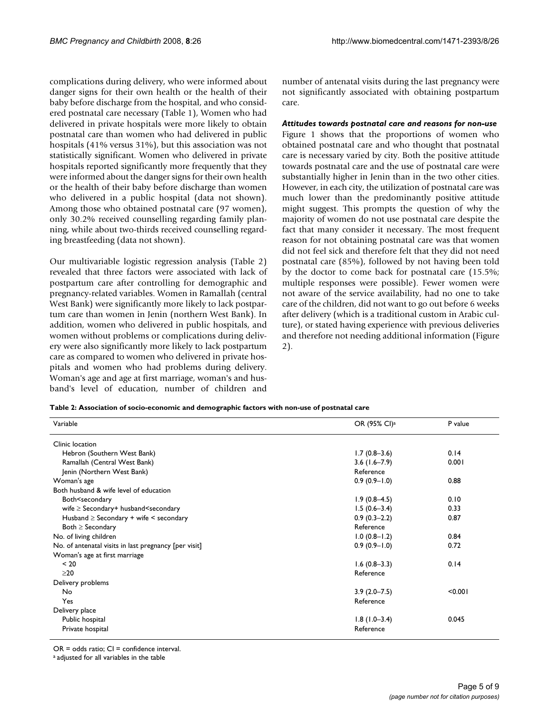complications during delivery, who were informed about danger signs for their own health or the health of their baby before discharge from the hospital, and who considered postnatal care necessary (Table 1), Women who had delivered in private hospitals were more likely to obtain postnatal care than women who had delivered in public hospitals (41% versus 31%), but this association was not statistically significant. Women who delivered in private hospitals reported significantly more frequently that they were informed about the danger signs for their own health or the health of their baby before discharge than women who delivered in a public hospital (data not shown). Among those who obtained postnatal care (97 women), only 30.2% received counselling regarding family planning, while about two-thirds received counselling regarding breastfeeding (data not shown).

Our multivariable logistic regression analysis (Table 2) revealed that three factors were associated with lack of postpartum care after controlling for demographic and pregnancy-related variables. Women in Ramallah (central West Bank) were significantly more likely to lack postpartum care than women in Jenin (northern West Bank). In addition, women who delivered in public hospitals, and women without problems or complications during delivery were also significantly more likely to lack postpartum care as compared to women who delivered in private hospitals and women who had problems during delivery. Woman's age and age at first marriage, woman's and husband's level of education, number of children and

number of antenatal visits during the last pregnancy were not significantly associated with obtaining postpartum care.

*Attitudes towards postnatal care and reasons for non-use* Figure 1 shows that the proportions of women who obtained postnatal care and who thought that postnatal care is necessary varied by city. Both the positive attitude towards postnatal care and the use of postnatal care were substantially higher in Jenin than in the two other cities. However, in each city, the utilization of postnatal care was much lower than the predominantly positive attitude might suggest. This prompts the question of why the majority of women do not use postnatal care despite the fact that many consider it necessary. The most frequent reason for not obtaining postnatal care was that women did not feel sick and therefore felt that they did not need postnatal care (85%), followed by not having been told by the doctor to come back for postnatal care (15.5%; multiple responses were possible). Fewer women were not aware of the service availability, had no one to take care of the children, did not want to go out before 6 weeks after delivery (which is a traditional custom in Arabic culture), or stated having experience with previous deliveries and therefore not needing additional information (Figure 2).

| Table 2: Association of socio-economic and demographic factors with non-use of postnatal care |  |  |  |
|-----------------------------------------------------------------------------------------------|--|--|--|
|                                                                                               |  |  |  |

| Variable                                                                                                 | OR (95% CI) <sup>a</sup> | P value |
|----------------------------------------------------------------------------------------------------------|--------------------------|---------|
| Clinic location                                                                                          |                          |         |
| Hebron (Southern West Bank)                                                                              | $1.7(0.8-3.6)$           | 0.14    |
| Ramallah (Central West Bank)                                                                             | $3.6(1.6 - 7.9)$         | 0.001   |
| Jenin (Northern West Bank)                                                                               | Reference                |         |
| Woman's age                                                                                              | $0.9(0.9-1.0)$           | 0.88    |
| Both husband & wife level of education                                                                   |                          |         |
| Both <secondary< td=""><td><math>1.9(0.8-4.5)</math></td><td>0.10</td></secondary<>                      | $1.9(0.8-4.5)$           | 0.10    |
| wife ≥ Secondary+ husband <secondary< td=""><td><math>1.5(0.6-3.4)</math></td><td>0.33</td></secondary<> | $1.5(0.6-3.4)$           | 0.33    |
| Husband $\geq$ Secondary + wife $\leq$ secondary                                                         | $0.9(0.3-2.2)$           | 0.87    |
| Both $\geq$ Secondary                                                                                    | Reference                |         |
| No. of living children                                                                                   | $1.0(0.8-1.2)$           | 0.84    |
| No. of antenatal visits in last pregnancy [per visit]                                                    | $0.9(0.9-1.0)$           | 0.72    |
| Woman's age at first marriage                                                                            |                          |         |
| < 20                                                                                                     | $1.6(0.8-3.3)$           | 0.14    |
| $\geq$ 20                                                                                                | Reference                |         |
| Delivery problems                                                                                        |                          |         |
| No                                                                                                       | $3.9(2.0 - 7.5)$         | < 0.001 |
| Yes                                                                                                      | Reference                |         |
| Delivery place                                                                                           |                          |         |
| Public hospital                                                                                          | $1.8(1.0-3.4)$           | 0.045   |
| Private hospital                                                                                         | Reference                |         |

OR = odds ratio; CI = confidence interval.

a adjusted for all variables in the table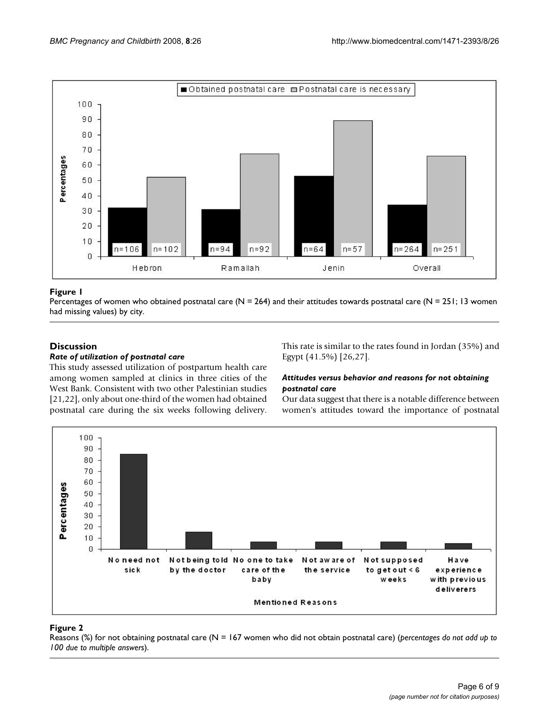

### Percentages of women who obtained postnatal care (N = 264) an had missing values) by city **Figure 1** d their attitudes towards postnatal care (N = 251; 13 women

Percentages of women who obtained postnatal care (N = 264) and their attitudes towards postnatal care (N = 251; 13 women had missing values) by city.

### **Discussion**

### *Rate of utilization of postnatal care*

This study assessed utilization of postpartum health care among women sampled at clinics in three cities of the West Bank. Consistent with two other Palestinian studies [21,22], only about one-third of the women had obtained postnatal care during the six weeks following delivery.

This rate is similar to the rates found in Jordan (35%) and Egypt (41.5%) [26,27].

### *Attitudes versus behavior and reasons for not obtaining postnatal care*

Our data suggest that there is a notable difference between women's attitudes toward the importance of postnatal



### *100 due to multiple answers* **Figure 2** Reasons (%) for not obtaining postnatal care (N ) = 167 women who did not obtain postnatal care) (*percentages do not add up to*

Reasons (%) for not obtaining postnatal care (N = 167 women who did not obtain postnatal care) (*percentages do not add up to 100 due to multiple answers*).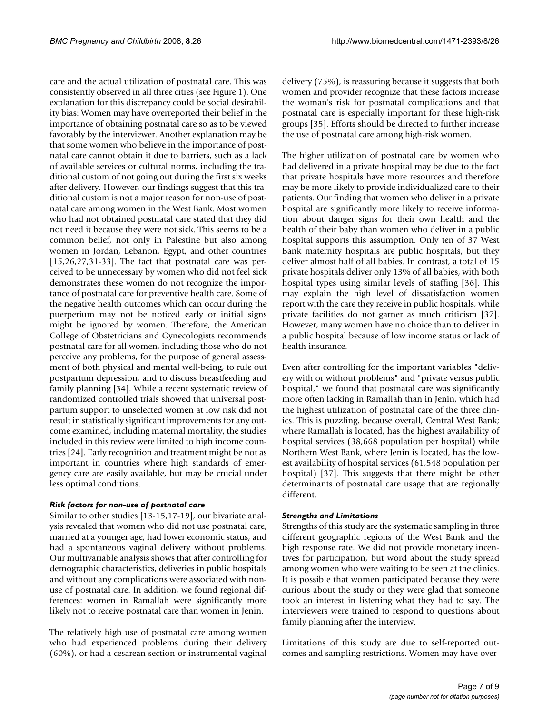care and the actual utilization of postnatal care. This was consistently observed in all three cities (see Figure 1). One explanation for this discrepancy could be social desirability bias: Women may have overreported their belief in the importance of obtaining postnatal care so as to be viewed favorably by the interviewer. Another explanation may be that some women who believe in the importance of postnatal care cannot obtain it due to barriers, such as a lack of available services or cultural norms, including the traditional custom of not going out during the first six weeks after delivery. However, our findings suggest that this traditional custom is not a major reason for non-use of postnatal care among women in the West Bank. Most women who had not obtained postnatal care stated that they did not need it because they were not sick. This seems to be a common belief, not only in Palestine but also among women in Jordan, Lebanon, Egypt, and other countries  $[15,26,27,31-33]$ . The fact that postnatal care was perceived to be unnecessary by women who did not feel sick demonstrates these women do not recognize the importance of postnatal care for preventive health care. Some of the negative health outcomes which can occur during the puerperium may not be noticed early or initial signs might be ignored by women. Therefore, the American College of Obstetricians and Gynecologists recommends postnatal care for all women, including those who do not perceive any problems, for the purpose of general assessment of both physical and mental well-being, to rule out postpartum depression, and to discuss breastfeeding and family planning [34]. While a recent systematic review of randomized controlled trials showed that universal postpartum support to unselected women at low risk did not result in statistically significant improvements for any outcome examined, including maternal mortality, the studies included in this review were limited to high income countries [24]. Early recognition and treatment might be not as important in countries where high standards of emergency care are easily available, but may be crucial under less optimal conditions.

### *Risk factors for non-use of postnatal care*

Similar to other studies [13-15,17-19], our bivariate analysis revealed that women who did not use postnatal care, married at a younger age, had lower economic status, and had a spontaneous vaginal delivery without problems. Our multivariable analysis shows that after controlling for demographic characteristics, deliveries in public hospitals and without any complications were associated with nonuse of postnatal care. In addition, we found regional differences: women in Ramallah were significantly more likely not to receive postnatal care than women in Jenin.

The relatively high use of postnatal care among women who had experienced problems during their delivery (60%), or had a cesarean section or instrumental vaginal

delivery (75%), is reassuring because it suggests that both women and provider recognize that these factors increase the woman's risk for postnatal complications and that postnatal care is especially important for these high-risk groups [35]. Efforts should be directed to further increase the use of postnatal care among high-risk women.

The higher utilization of postnatal care by women who had delivered in a private hospital may be due to the fact that private hospitals have more resources and therefore may be more likely to provide individualized care to their patients. Our finding that women who deliver in a private hospital are significantly more likely to receive information about danger signs for their own health and the health of their baby than women who deliver in a public hospital supports this assumption. Only ten of 37 West Bank maternity hospitals are public hospitals, but they deliver almost half of all babies. In contrast, a total of 15 private hospitals deliver only 13% of all babies, with both hospital types using similar levels of staffing [36]. This may explain the high level of dissatisfaction women report with the care they receive in public hospitals, while private facilities do not garner as much criticism [37]. However, many women have no choice than to deliver in a public hospital because of low income status or lack of health insurance.

Even after controlling for the important variables "delivery with or without problems" and "private versus public hospital," we found that postnatal care was significantly more often lacking in Ramallah than in Jenin, which had the highest utilization of postnatal care of the three clinics. This is puzzling, because overall, Central West Bank; where Ramallah is located, has the highest availability of hospital services (38,668 population per hospital) while Northern West Bank, where Jenin is located, has the lowest availability of hospital services (61,548 population per hospital) [37]. This suggests that there might be other determinants of postnatal care usage that are regionally different.

### *Strengths and Limitations*

Strengths of this study are the systematic sampling in three different geographic regions of the West Bank and the high response rate. We did not provide monetary incentives for participation, but word about the study spread among women who were waiting to be seen at the clinics. It is possible that women participated because they were curious about the study or they were glad that someone took an interest in listening what they had to say. The interviewers were trained to respond to questions about family planning after the interview.

Limitations of this study are due to self-reported outcomes and sampling restrictions. Women may have over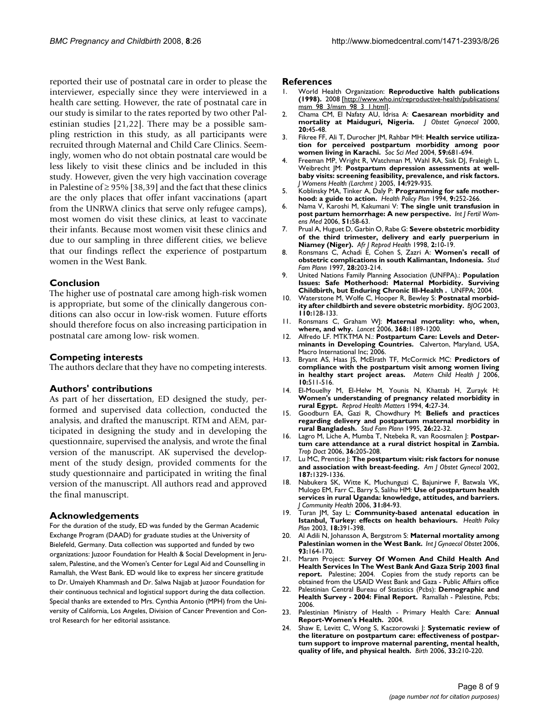reported their use of postnatal care in order to please the interviewer, especially since they were interviewed in a health care setting. However, the rate of postnatal care in our study is similar to the rates reported by two other Palestinian studies [21,22]. There may be a possible sampling restriction in this study, as all participants were recruited through Maternal and Child Care Clinics. Seemingly, women who do not obtain postnatal care would be less likely to visit these clinics and be included in this study. However, given the very high vaccination coverage in Palestine of ≥ 95% [38,39] and the fact that these clinics are the only places that offer infant vaccinations (apart from the UNRWA clinics that serve only refugee camps), most women do visit these clinics, at least to vaccinate their infants. Because most women visit these clinics and due to our sampling in three different cities, we believe that our findings reflect the experience of postpartum women in the West Bank.

### **Conclusion**

The higher use of postnatal care among high-risk women is appropriate, but some of the clinically dangerous conditions can also occur in low-risk women. Future efforts should therefore focus on also increasing participation in postnatal care among low- risk women.

### **Competing interests**

The authors declare that they have no competing interests.

### **Authors' contributions**

As part of her dissertation, ED designed the study, performed and supervised data collection, conducted the analysis, and drafted the manuscript. RTM and AEM, participated in designing the study and in developing the questionnaire, supervised the analysis, and wrote the final version of the manuscript. AK supervised the development of the study design, provided comments for the study questionnaire and participated in writing the final version of the manuscript. All authors read and approved the final manuscript.

### **Acknowledgements**

For the duration of the study, ED was funded by the German Academic Exchange Program (DAAD) for graduate studies at the University of Bielefeld, Germany. Data collection was supported and funded by two organizations: Juzoor Foundation for Health & Social Development in Jerusalem, Palestine, and the Women's Center for Legal Aid and Counselling in Ramallah, the West Bank. ED would like to express her sincere gratitude to Dr. Umaiyeh Khammash and Dr. Salwa Najjab at Juzoor Foundation for their continuous technical and logistical support during the data collection. Special thanks are extended to Mrs. Cynthia Antonio (MPH) from the University of California, Los Angeles, Division of Cancer Prevention and Control Research for her editorial assistance.

#### **References**

- 1. World Health Organization: **Reproductive halth publications (1998).** 2008 [[http://www.who.int/reproductive-health/publications/](http://www.who.int/reproductive-health/publications/msm_98_3/msm_98_3_1.html) [msm\\_98\\_3/msm\\_98\\_3\\_1.html](http://www.who.int/reproductive-health/publications/msm_98_3/msm_98_3_1.html)].
- 2. Chama CM, El Nafaty AU, Idrisa A: **[Caesarean morbidity and](http://www.ncbi.nlm.nih.gov/entrez/query.fcgi?cmd=Retrieve&db=PubMed&dopt=Abstract&list_uids=15512465) [mortality at Maiduguri, Nigeria.](http://www.ncbi.nlm.nih.gov/entrez/query.fcgi?cmd=Retrieve&db=PubMed&dopt=Abstract&list_uids=15512465)** *J Obstet Gynaecol* 2000, **20:**45-48.
- 3. Fikree FF, Ali T, Durocher JM, Rahbar MH: **[Health service utiliza](http://www.ncbi.nlm.nih.gov/entrez/query.fcgi?cmd=Retrieve&db=PubMed&dopt=Abstract&list_uids=15177827)[tion for perceived postpartum morbidity among poor](http://www.ncbi.nlm.nih.gov/entrez/query.fcgi?cmd=Retrieve&db=PubMed&dopt=Abstract&list_uids=15177827) [women living in Karachi.](http://www.ncbi.nlm.nih.gov/entrez/query.fcgi?cmd=Retrieve&db=PubMed&dopt=Abstract&list_uids=15177827)** *Soc Sci Med* 2004, **59:**681-694.
- 4. Freeman MP, Wright R, Watchman M, Wahl RA, Sisk DJ, Fraleigh L, Weibrecht JM: **[Postpartum depression assessments at well](http://www.ncbi.nlm.nih.gov/entrez/query.fcgi?cmd=Retrieve&db=PubMed&dopt=Abstract&list_uids=16372894)[baby visits: screening feasibility, prevalence, and risk factors.](http://www.ncbi.nlm.nih.gov/entrez/query.fcgi?cmd=Retrieve&db=PubMed&dopt=Abstract&list_uids=16372894)** *J Womens Health (Larchmt )* 2005, **14:**929-935.
- 5. Koblinsky MA, Tinker A, Daly P: **[Programming for safe mother](http://www.ncbi.nlm.nih.gov/entrez/query.fcgi?cmd=Retrieve&db=PubMed&dopt=Abstract&list_uids=10137741)[hood: a guide to action.](http://www.ncbi.nlm.nih.gov/entrez/query.fcgi?cmd=Retrieve&db=PubMed&dopt=Abstract&list_uids=10137741)** *Health Policy Plan* 1994, **9:**252-266.
- 6. Nama V, Karoshi M, Kakumani V: **[The single unit transfusion in](http://www.ncbi.nlm.nih.gov/entrez/query.fcgi?cmd=Retrieve&db=PubMed&dopt=Abstract&list_uids=16881380) [post partum hemorrhage: A new perspective.](http://www.ncbi.nlm.nih.gov/entrez/query.fcgi?cmd=Retrieve&db=PubMed&dopt=Abstract&list_uids=16881380)** *Int J Fertil Womens Med* 2006, **51:**58-63.
- 7. Prual A, Huguet D, Garbin O, Rabe G: **[Severe obstetric morbidity](http://www.ncbi.nlm.nih.gov/entrez/query.fcgi?cmd=Retrieve&db=PubMed&dopt=Abstract&list_uids=10214424) [of the third trimester, delivery and early puerperium in](http://www.ncbi.nlm.nih.gov/entrez/query.fcgi?cmd=Retrieve&db=PubMed&dopt=Abstract&list_uids=10214424) [Niamey \(Niger\).](http://www.ncbi.nlm.nih.gov/entrez/query.fcgi?cmd=Retrieve&db=PubMed&dopt=Abstract&list_uids=10214424)** *Afr J Reprod Health* 1998, **2:**10-19.
- 8. Ronsmans C, Achadi E, Cohen S, Zazri A: **[Women's recall of](http://www.ncbi.nlm.nih.gov/entrez/query.fcgi?cmd=Retrieve&db=PubMed&dopt=Abstract&list_uids=9322336) [obstetric complications in south Kalimantan, Indonesia.](http://www.ncbi.nlm.nih.gov/entrez/query.fcgi?cmd=Retrieve&db=PubMed&dopt=Abstract&list_uids=9322336)** *Stud Fam Plann* 1997, **28:**203-214.
- 9. United Nations Family Planning Association (UNFPA).: **Population Issues: Safe Motherhood: Maternal Morbidity. Surviving Childbirth, but Enduring Chronic Ill-Health .** UNFPA; 2004.
- 10. Waterstone M, Wolfe C, Hooper R, Bewley S: **[Postnatal morbid](http://www.ncbi.nlm.nih.gov/entrez/query.fcgi?cmd=Retrieve&db=PubMed&dopt=Abstract&list_uids=12618155)[ity after childbirth and severe obstetric morbidity.](http://www.ncbi.nlm.nih.gov/entrez/query.fcgi?cmd=Retrieve&db=PubMed&dopt=Abstract&list_uids=12618155)** *BJOG* 2003, **110:**128-133.
- 11. Ronsmans C, Graham WJ: **[Maternal mortality: who, when,](http://www.ncbi.nlm.nih.gov/entrez/query.fcgi?cmd=Retrieve&db=PubMed&dopt=Abstract&list_uids=17011946) [where, and why.](http://www.ncbi.nlm.nih.gov/entrez/query.fcgi?cmd=Retrieve&db=PubMed&dopt=Abstract&list_uids=17011946)** *Lancet* 2006, **368:**1189-1200.
- 12. Alfredo LF. MTKTMA N.: **Postpartum Care: Levels and Determinants in Developing Countries.** Calverton, Maryland, USA, Macro International Inc; 2006.
- 13. Bryant AS, Haas JS, McElrath TF, McCormick MC: **[Predictors of](http://www.ncbi.nlm.nih.gov/entrez/query.fcgi?cmd=Retrieve&db=PubMed&dopt=Abstract&list_uids=16807794) [compliance with the postpartum visit among women living](http://www.ncbi.nlm.nih.gov/entrez/query.fcgi?cmd=Retrieve&db=PubMed&dopt=Abstract&list_uids=16807794) [in healthy start project areas.](http://www.ncbi.nlm.nih.gov/entrez/query.fcgi?cmd=Retrieve&db=PubMed&dopt=Abstract&list_uids=16807794)** *Matern Child Health J* 2006, **10:**511-516.
- 14. El-Mouelhy M, El-Helw M, Younis N, Khattab H, Zurayk H: **Women's understanding of pregnancy related morbidity in rural Egypt.** *Reprod Health Matters* 1994, **4:**27-34.
- 15. Goodburn EA, Gazi R, Chowdhury M: **[Beliefs and practices](http://www.ncbi.nlm.nih.gov/entrez/query.fcgi?cmd=Retrieve&db=PubMed&dopt=Abstract&list_uids=7785065) [regarding delivery and postpartum maternal morbidity in](http://www.ncbi.nlm.nih.gov/entrez/query.fcgi?cmd=Retrieve&db=PubMed&dopt=Abstract&list_uids=7785065) [rural Bangladesh.](http://www.ncbi.nlm.nih.gov/entrez/query.fcgi?cmd=Retrieve&db=PubMed&dopt=Abstract&list_uids=7785065)** *Stud Fam Plann* 1995, **26:**22-32.
- 16. Lagro M, Liche A, Mumba T, Ntebeka R, van Roosmalen J: **[Postpar](http://www.ncbi.nlm.nih.gov/entrez/query.fcgi?cmd=Retrieve&db=PubMed&dopt=Abstract&list_uids=17034688)[tum care attendance at a rural district hospital in Zambia.](http://www.ncbi.nlm.nih.gov/entrez/query.fcgi?cmd=Retrieve&db=PubMed&dopt=Abstract&list_uids=17034688)** *Trop Doct* 2006, **36:**205-208.
- 17. Lu MC, Prentice J: **[The postpartum visit: risk factors for nonuse](http://www.ncbi.nlm.nih.gov/entrez/query.fcgi?cmd=Retrieve&db=PubMed&dopt=Abstract&list_uids=12439527) [and association with breast-feeding.](http://www.ncbi.nlm.nih.gov/entrez/query.fcgi?cmd=Retrieve&db=PubMed&dopt=Abstract&list_uids=12439527)** *Am J Obstet Gynecol* 2002, **187:**1329-1336.
- 18. Nabukera SK, Witte K, Muchunguzi C, Bajunirwe F, Batwala VK, Mulogo EM, Farr C, Barry S, Salihu HM: **[Use of postpartum health](http://www.ncbi.nlm.nih.gov/entrez/query.fcgi?cmd=Retrieve&db=PubMed&dopt=Abstract&list_uids=16737170) [services in rural Uganda: knowledge, attitudes, and barriers.](http://www.ncbi.nlm.nih.gov/entrez/query.fcgi?cmd=Retrieve&db=PubMed&dopt=Abstract&list_uids=16737170)** *J Community Health* 2006, **31:**84-93.
- 19. Turan JM, Say L: **[Community-based antenatal education in](http://www.ncbi.nlm.nih.gov/entrez/query.fcgi?cmd=Retrieve&db=PubMed&dopt=Abstract&list_uids=14654515) [Istanbul, Turkey: effects on health behaviours.](http://www.ncbi.nlm.nih.gov/entrez/query.fcgi?cmd=Retrieve&db=PubMed&dopt=Abstract&list_uids=14654515)** *Health Policy Plan* 2003, **18:**391-398.
- 20. Al Adili N, Johansson A, Bergstrom S: **[Maternal mortality among](http://www.ncbi.nlm.nih.gov/entrez/query.fcgi?cmd=Retrieve&db=PubMed&dopt=Abstract&list_uids=16530196) [Palestinian women in the West Bank.](http://www.ncbi.nlm.nih.gov/entrez/query.fcgi?cmd=Retrieve&db=PubMed&dopt=Abstract&list_uids=16530196)** *Int J Gynaecol Obstet* 2006, **93:**164-170.
- 21. Maram Project: **Survey Of Women And Child Health And Health Services In The West Bank And Gaza Strip 2003 final report.** Palestine; 2004. Copies from the study reports can be obtained from the USAID West Bank and Gaza - Public Affairs office
- 22. Palestinian Central Bureau of Statistics (Pcbs): **Demographic and Health Survey - 2004: Final Report.** Ramallah - Palestine, Pcbs; 2006.
- 23. Palestinian Ministry of Health Primary Health Care: **Annual Report-Women's Health.** 2004.
- 24. Shaw E, Levitt C, Wong S, Kaczorowski J: **[Systematic review of](http://www.ncbi.nlm.nih.gov/entrez/query.fcgi?cmd=Retrieve&db=PubMed&dopt=Abstract&list_uids=16948721) [the literature on postpartum care: effectiveness of postpar](http://www.ncbi.nlm.nih.gov/entrez/query.fcgi?cmd=Retrieve&db=PubMed&dopt=Abstract&list_uids=16948721)tum support to improve maternal parenting, mental health, [quality of life, and physical health.](http://www.ncbi.nlm.nih.gov/entrez/query.fcgi?cmd=Retrieve&db=PubMed&dopt=Abstract&list_uids=16948721)** *Birth* 2006, **33:**210-220.